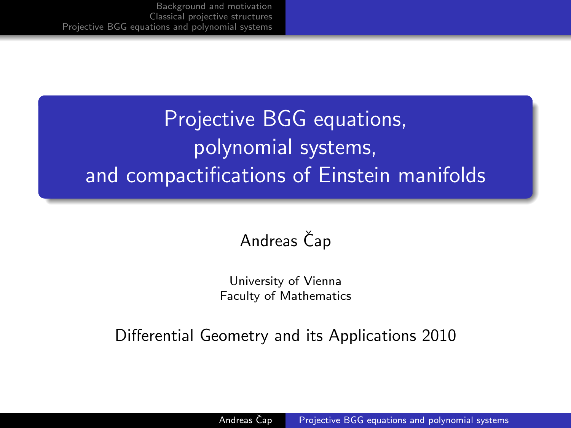# Projective BGG equations, polynomial systems, and compactifications of Einstein manifolds

## Andreas Čap

<span id="page-0-0"></span>University of Vienna Faculty of Mathematics

Differential Geometry and its Applications 2010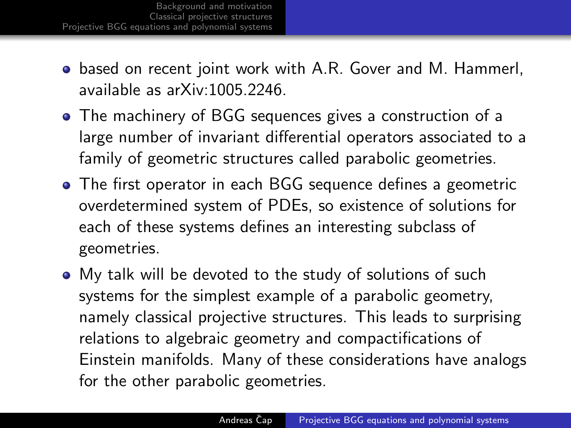- based on recent joint work with A.R. Gover and M. Hammerl, available as arXiv:1005.2246.
- The machinery of BGG sequences gives a construction of a large number of invariant differential operators associated to a family of geometric structures called parabolic geometries.
- The first operator in each BGG sequence defines a geometric overdetermined system of PDEs, so existence of solutions for each of these systems defines an interesting subclass of geometries.
- My talk will be devoted to the study of solutions of such systems for the simplest example of a parabolic geometry, namely classical projective structures. This leads to surprising relations to algebraic geometry and compactifications of Einstein manifolds. Many of these considerations have analogs for the other parabolic geometries.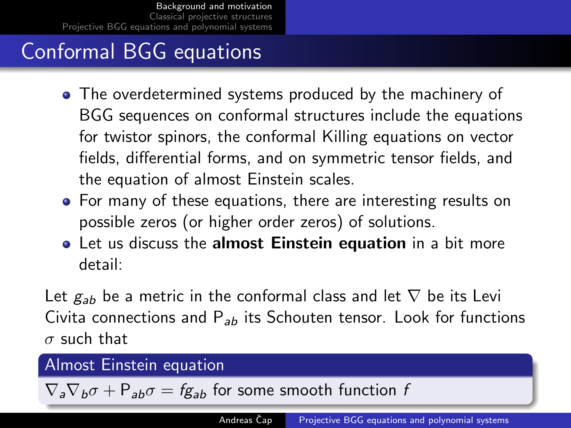## Conformal BGG equations

- The overdetermined systems produced by the machinery of BGG sequences on conformal structures include the equations for twistor spinors, the conformal Killing equations on vector fields, differential forms, and on symmetric tensor fields, and the equation of almost Einstein scales.
- For many of these equations, there are interesting results on possible zeros (or higher order zeros) of solutions.
- **•** Let us discuss the **almost Einstein equation** in a bit more detail:

Let  $g_{ab}$  be a metric in the conformal class and let  $\nabla$  be its Levi Civita connections and  $P_{ab}$  its Schouten tensor. Look for functions  $\sigma$  such that

#### Almost Einstein equation

<span id="page-2-0"></span> $\nabla_a \nabla_b \sigma + P_{ab} \sigma = fg_{ab}$  for some smooth function f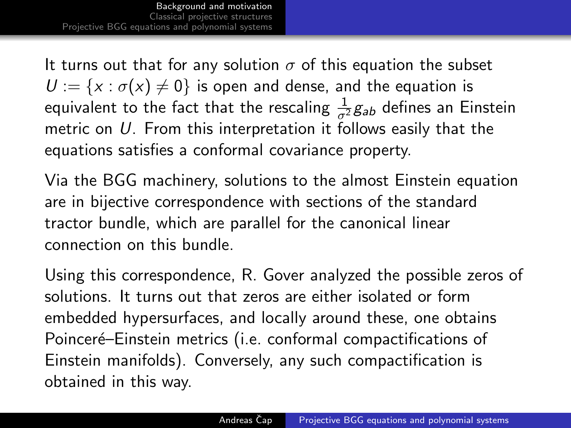[Background and motivation](#page-2-0) [Classical projective structures](#page-4-0) [Projective BGG equations and polynomial systems](#page-12-0)

It turns out that for any solution  $\sigma$  of this equation the subset  $U := \{x : \sigma(x) \neq 0\}$  is open and dense, and the equation is equivalent to the fact that the rescaling  $\frac{1}{\sigma^2}g_{ab}$  defines an Einstein metric on  $U$ . From this interpretation it follows easily that the equations satisfies a conformal covariance property.

Via the BGG machinery, solutions to the almost Einstein equation are in bijective correspondence with sections of the standard tractor bundle, which are parallel for the canonical linear connection on this bundle.

Using this correspondence, R. Gover analyzed the possible zeros of solutions. It turns out that zeros are either isolated or form embedded hypersurfaces, and locally around these, one obtains Poinceré–Einstein metrics (i.e. conformal compactifications of Einstein manifolds). Conversely, any such compactification is obtained in this way.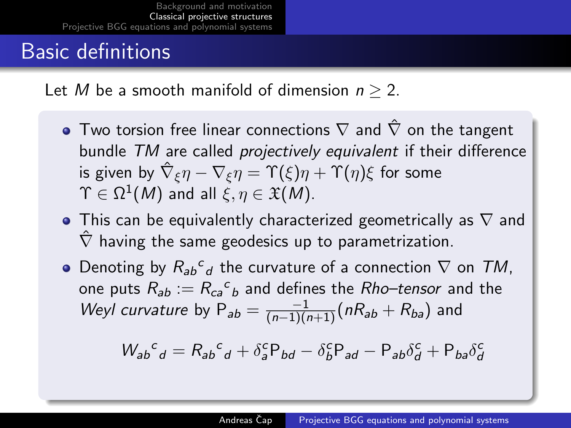## Basic definitions

Let M be a smooth manifold of dimension  $n > 2$ .

- $\bullet$  Two torsion free linear connections  $\nabla$  and  $\hat{\nabla}$  on the tangent bundle TM are called projectively equivalent if their difference is given by  $\hat\nabla_\xi \eta-\nabla_\xi \eta=\Upsilon(\xi)\eta+\Upsilon(\eta)\xi$  for some  $\Upsilon \in \Omega^1(M)$  and all  $\xi, \eta \in \mathfrak{X}(M).$
- This can be equivalently characterized geometrically as  $\nabla$  and  $\hat{\nabla}$  having the same geodesics up to parametrization.
- Denoting by  $R_{ab}c_d$  the curvature of a connection  $\nabla$  on TM, one puts  $R_{ab} := R_{ca}{}^c{}_b$  and defines the  $Rho$ –tensor and the Weyl curvature by  $P_{ab} = \frac{-1}{(n-1)(n+1)} (nR_{ab} + R_{ba})$  and

<span id="page-4-0"></span>
$$
W_{ab}{}^c{}_d = R_{ab}{}^c{}_d + \delta^c_a P_{bd} - \delta^c_b P_{ad} - P_{ab} \delta^c_d + P_{ba} \delta^c_d
$$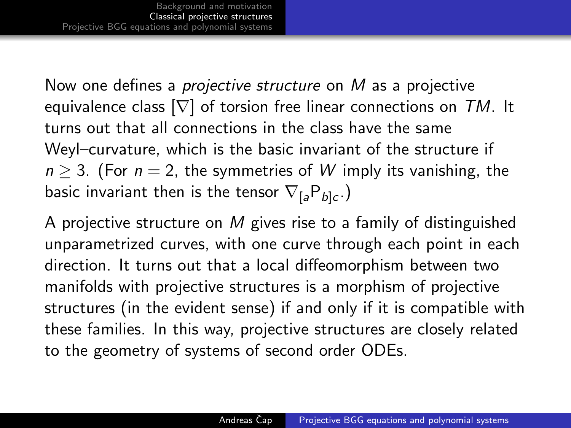Now one defines a *projective structure* on M as a projective equivalence class  $[\nabla]$  of torsion free linear connections on TM. It turns out that all connections in the class have the same Weyl–curvature, which is the basic invariant of the structure if  $n > 3$ . (For  $n = 2$ , the symmetries of W imply its vanishing, the basic invariant then is the tensor  $\nabla_{[a} \mathsf{P}_{b]c}$  )

A projective structure on M gives rise to a family of distinguished unparametrized curves, with one curve through each point in each direction. It turns out that a local diffeomorphism between two manifolds with projective structures is a morphism of projective structures (in the evident sense) if and only if it is compatible with these families. In this way, projective structures are closely related to the geometry of systems of second order ODEs.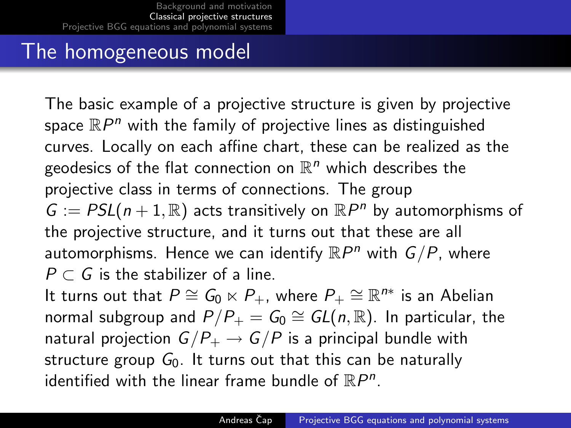#### The homogeneous model

The basic example of a projective structure is given by projective space  $\mathbb{R}P^n$  with the family of projective lines as distinguished curves. Locally on each affine chart, these can be realized as the geodesics of the flat connection on  $\mathbb{R}^n$  which describes the projective class in terms of connections. The group  $G := PSL(n+1, \mathbb{R})$  acts transitively on  $\mathbb{R}P^n$  by automorphisms of the projective structure, and it turns out that these are all automorphisms. Hence we can identify  $\mathbb{R}P^n$  with  $G/P$ , where  $P \subset G$  is the stabilizer of a line.

It turns out that  $P \cong G_0 \ltimes P_+$ , where  $P_+ \cong \mathbb{R}^{n*}$  is an Abelian normal subgroup and  $P/P_+=\bar G_0\cong GL(n,\mathbb{R}).$  In particular, the natural projection  $G/P_+ \to G/P$  is a principal bundle with structure group  $G_0$ . It turns out that this can be naturally identified with the linear frame bundle of  $\mathbb{R}P^n$ .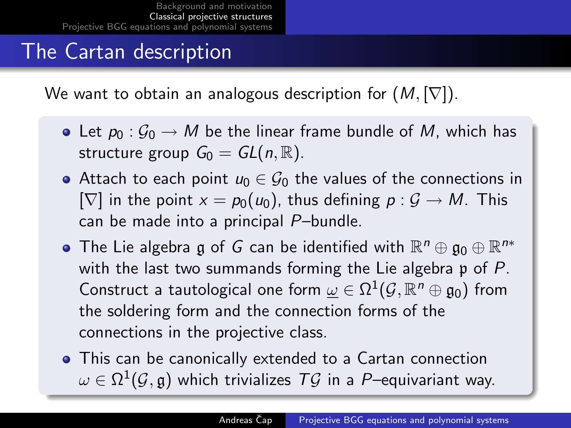## The Cartan description

We want to obtain an analogous description for  $(M, [\nabla])$ .

- Let  $p_0 : G_0 \to M$  be the linear frame bundle of M, which has structure group  $G_0 = GL(n, \mathbb{R})$ .
- Attach to each point  $u_0 \in \mathcal{G}_0$  the values of the connections in  $[\nabla]$  in the point  $x = p_0(u_0)$ , thus defining  $p : \mathcal{G} \to M$ . This can be made into a principal P–bundle.
- The Lie algebra  $\mathfrak g$  of  $G$  can be identified with  $\mathbb R^n\oplus\mathfrak g_0\oplus\mathbb R^{n*}$ with the last two summands forming the Lie algebra  $\mathfrak p$  of P. Construct a tautological one form  $\underline{\omega}\in \Omega^1(\mathcal{G},\mathbb{R}^n\oplus\mathfrak{g}_0)$  from the soldering form and the connection forms of the connections in the projective class.
- This can be canonically extended to a Cartan connection  $\omega \in \Omega^1(\mathcal{G},\mathfrak{g})$  which trivializes  $\mathcal{T}\mathcal{G}$  in a  $P-$ equivariant way.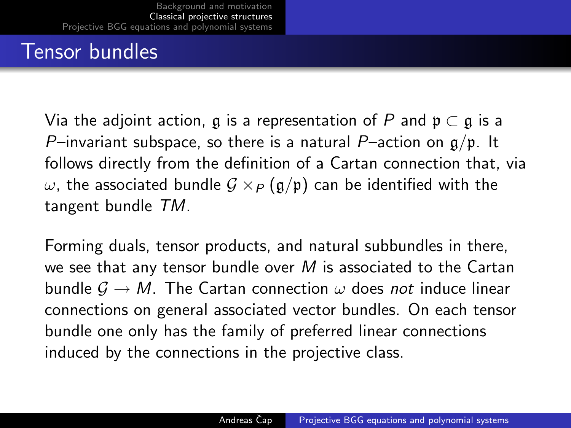## Tensor bundles

Via the adjoint action, g is a representation of P and  $p \subset q$  is a P–invariant subspace, so there is a natural P–action on  $g/p$ . It follows directly from the definition of a Cartan connection that, via  $ω$ , the associated bundle  $G \times P(g/p)$  can be identified with the tangent bundle TM.

Forming duals, tensor products, and natural subbundles in there, we see that any tensor bundle over  $M$  is associated to the Cartan bundle  $\mathcal{G} \to M$ . The Cartan connection  $\omega$  does not induce linear connections on general associated vector bundles. On each tensor bundle one only has the family of preferred linear connections induced by the connections in the projective class.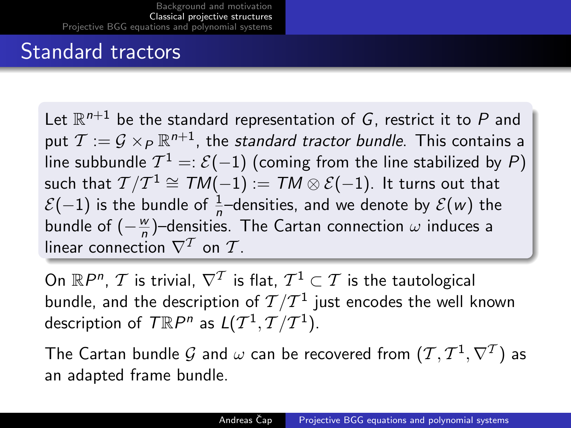#### Standard tractors

Let  $\mathbb{R}^{n+1}$  be the standard representation of  $G$ , restrict it to  $P$  and put  $\mathcal{T}:=\mathcal{G}\times_P\mathbb{R}^{n+1}$ , the *standard tractor bundle*. This contains a line subbundle  $\mathcal{T}^1 =: \mathcal{E}(-1)$  (coming from the line stabilized by  $P)$ such that  $\mathcal{I}/\mathcal{I}^{1}\cong \mathcal{T}M(-1):=\mathcal{T}M\otimes \mathcal{E}(-1).$  It turns out that  $\mathcal{E}(-1)$  is the bundle of  $\frac{1}{n}$ —densities, and we denote by  $\mathcal{E}(w)$  the bundle of  $(-\frac{w}{n})$  $\frac{w}{n}$ )–densities. The Cartan connection  $\omega$  induces a linear connection  $\nabla^T$  on  $\mathcal T$ 

On  $\mathbb{R}P^n$ ,  $\mathcal T$  is trivial,  $\nabla^{\mathcal T}$  is flat,  $\mathcal T^1\subset \mathcal T$  is the tautological bundle, and the description of  $\mathcal{T}/\mathcal{T}^1$  just encodes the well known description of  $\mathcal{T}\mathbb{R}P^n$  as  $L(\mathcal{T}^1,\mathcal{T}/\mathcal{T}^1)$ .

The Cartan bundle  ${\cal G}$  and  $\omega$  can be recovered from  $({\cal T},{\cal T}^1,\nabla^{\cal T})$  as an adapted frame bundle.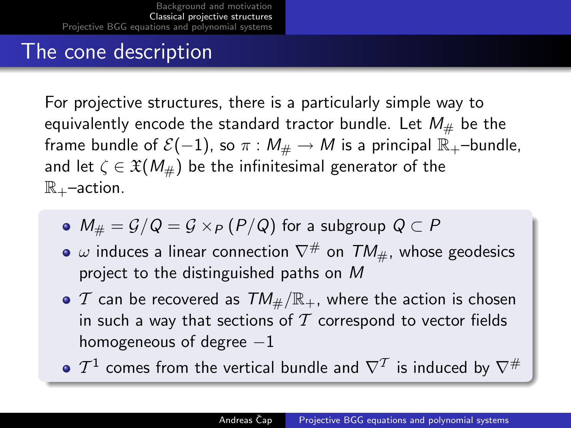#### The cone description

For projective structures, there is a particularly simple way to equivalently encode the standard tractor bundle. Let  $M_{\#}$  be the frame bundle of  $\mathcal{E}(-1)$ , so  $\pi : M_{\#} \to M$  is a principal  $\mathbb{R}_{+}$ –bundle, and let  $\zeta \in \mathfrak{X}(M_{\#})$  be the infinitesimal generator of the  $\mathbb{R}_{+}$ –action.

- $\bullet$   $M_{\#} = \mathcal{G}/\mathcal{Q} = \mathcal{G} \times_{\mathcal{P}} (\mathcal{P}/\mathcal{Q})$  for a subgroup  $\mathcal{Q} \subset \mathcal{P}$
- $\bullet$   $\omega$  induces a linear connection  $\nabla^{\#}$  on  $TM_{\#}$ , whose geodesics project to the distinguished paths on M
- $\bullet$  T can be recovered as  $TM_{\#}/\mathbb{R}_+$ , where the action is chosen in such a way that sections of  $T$  correspond to vector fields homogeneous of degree  $-1$
- $\mathcal{T}^1$  comes from the vertical bundle and  $\nabla^\mathcal{T}$  is induced by  $\nabla^\#$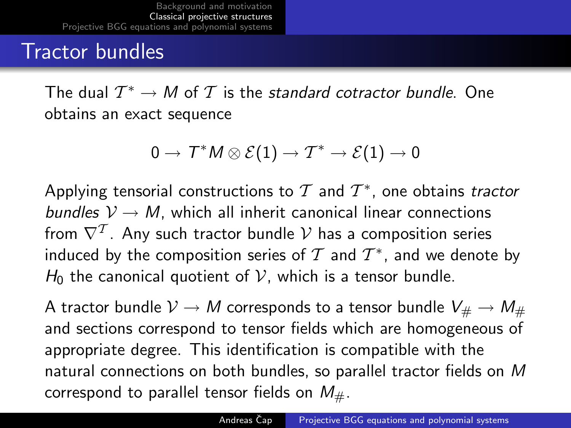#### Tractor bundles

The dual  $\mathcal{T}^* \to M$  of  $\mathcal{T}$  is the *standard cotractor bundle*. One obtains an exact sequence

$$
0\to\mathcal{T}^*M\otimes\mathcal{E}(1)\to\mathcal{T}^*\to\mathcal{E}(1)\to0
$$

Applying tensorial constructions to  $\mathcal T$  and  $\mathcal T^*$ , one obtains tractor bundles  $V \rightarrow M$ , which all inherit canonical linear connections from  $\nabla^{\mathcal T}$ . Any such tractor bundle  $\mathcal V$  has a composition series induced by the composition series of  $\mathcal T$  and  $\mathcal T^*$ , and we denote by  $H_0$  the canonical quotient of V, which is a tensor bundle.

A tractor bundle  $\mathcal{V} \to M$  corresponds to a tensor bundle  $V_\# \to M_\#$ and sections correspond to tensor fields which are homogeneous of appropriate degree. This identification is compatible with the natural connections on both bundles, so parallel tractor fields on M correspond to parallel tensor fields on  $M_{\#}$ .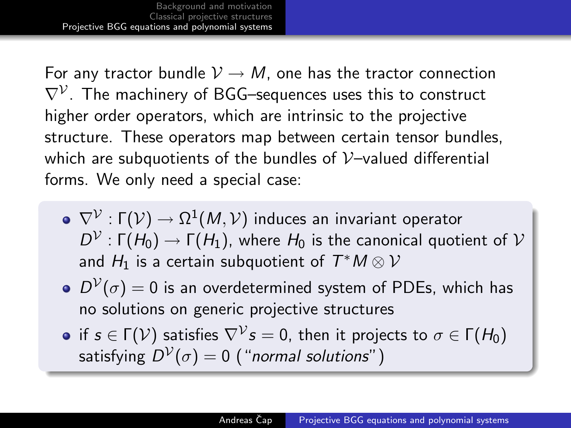For any tractor bundle  $\mathcal{V} \rightarrow M$ , one has the tractor connection  $\nabla^{\mathcal{V}}.$  The machinery of BGG–sequences uses this to construct higher order operators, which are intrinsic to the projective structure. These operators map between certain tensor bundles, which are subquotients of the bundles of  $V$ -valued differential forms. We only need a special case:

- $\nabla^{\mathcal{V}}:\mathsf{\Gamma}(\mathcal{V})\rightarrow \Omega^1(\mathcal{M},\mathcal{V})$  induces an invariant operator  $D^{\mathcal{V}}:\mathsf{\Gamma}(\mathcal{H}_0)\to \mathsf{\Gamma}(\mathcal{H}_1)$ , where  $\mathcal{H}_0$  is the canonical quotient of  $\mathcal V$ and  $H_1$  is a certain subquotient of  $\mathcal{T}^\ast M\otimes \mathcal{V}$
- $D^{\mathcal{V}}(\sigma)=0$  is an overdetermined system of PDEs, which has no solutions on generic projective structures
- <span id="page-12-0"></span>if  $s\in\Gamma(\mathcal{V})$  satisfies  $\nabla^\mathcal{V}s=0$ , then it projects to  $\sigma\in\Gamma(H_0)$ satisfying  $D^\mathcal{V}(\sigma)=0$  ("*normal solutions*" )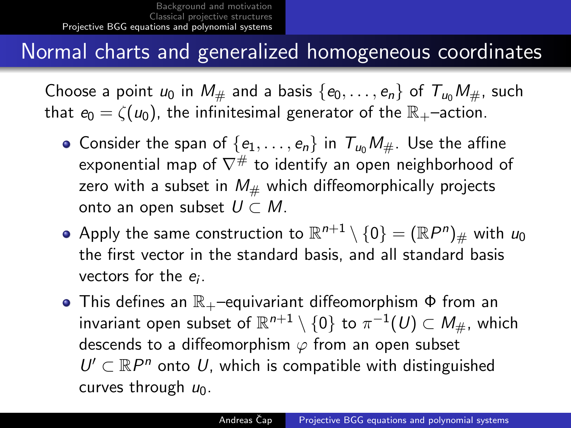#### Normal charts and generalized homogeneous coordinates

Choose a point  $u_0$  in  $M_{\#}$  and a basis  $\{e_0, \ldots, e_n\}$  of  $T_{u_0}M_{\#}$ , such that  $e_0 = \zeta(u_0)$ , the infinitesimal generator of the  $\mathbb{R}_+$ –action.

- Consider the span of  $\{e_1, \ldots, e_n\}$  in  $T_{u_0}M_{\#}$ . Use the affine exponential map of  $\nabla^{\#}$  to identify an open neighborhood of zero with a subset in  $M_{\#}$  which diffeomorphically projects onto an open subset  $U \subset M$ .
- Apply the same construction to  $\mathbb{R}^{n+1}\setminus\{0\}=(\mathbb{R}P^n)_\#$  with  $u_0$ the first vector in the standard basis, and all standard basis vectors for the  $e_i$ .
- $\bullet$  This defines an  $\mathbb{R}_{+}$ –equivariant diffeomorphism  $\Phi$  from an invariant open subset of  $\mathbb{R}^{n+1}\setminus\{0\}$  to  $\pi^{-1}(U)\subset M_{\#},$  which descends to a diffeomorphism  $\varphi$  from an open subset  $U' \subset \mathbb{R}P^n$  onto U, which is compatible with distinguished curves through  $u_0$ .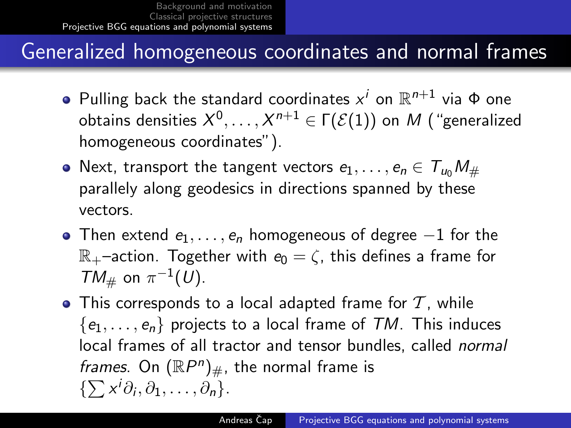#### Generalized homogeneous coordinates and normal frames

- Pulling back the standard coordinates  $x^i$  on  $\mathbb{R}^{n+1}$  via  $\Phi$  one obtains densities  $X^0,\ldots,X^{n+1}\in\Gamma(\mathcal{E}(1))$  on  $M$  ("generalized homogeneous coordinates").
- Next, transport the tangent vectors  $e_1, \ldots, e_n \in T_{\mu} M_{\#}$ parallely along geodesics in directions spanned by these vectors.
- Then extend  $e_1, \ldots, e_n$  homogeneous of degree  $-1$  for the  $\mathbb{R}_+$ –action. Together with  $e_0 = \zeta$ , this defines a frame for  $TM_{\#}$  on  $\pi^{-1}(U)$ .
- $\bullet$  This corresponds to a local adapted frame for  $\mathcal T$ , while  $\{e_1, \ldots, e_n\}$  projects to a local frame of TM. This induces local frames of all tractor and tensor bundles, called normal frames. On  $(\mathbb{R}P^n)_{\#}$ , the normal frame is  $\{\sum x^i\partial_i, \partial_1, \ldots, \partial_n\}.$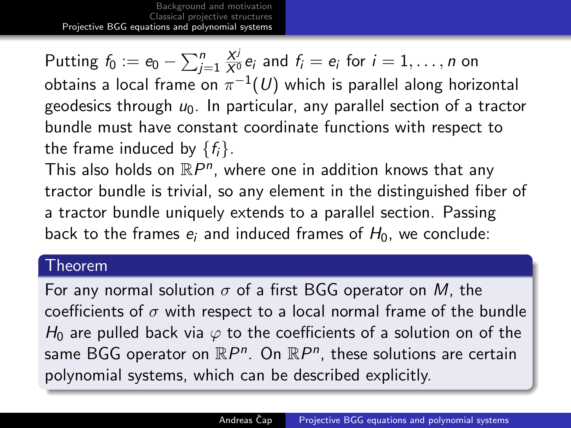[Background and motivation](#page-2-0) [Classical projective structures](#page-4-0) [Projective BGG equations and polynomial systems](#page-12-0)

Putting  $f_0 := e_0 - \sum_{j=1}^n \frac{X^j}{X^0} e_j$  and  $f_i = e_i$  for  $i = 1, \ldots, n$  on obtains a local frame on  $\pi^{-1}(U)$  which is parallel along horizontal geodesics through  $u_0$ . In particular, any parallel section of a tractor bundle must have constant coordinate functions with respect to the frame induced by  $\{f_i\}$ .

This also holds on  $\mathbb{R}P^n$ , where one in addition knows that any tractor bundle is trivial, so any element in the distinguished fiber of a tractor bundle uniquely extends to a parallel section. Passing back to the frames  $e_i$  and induced frames of  $H_0$ , we conclude:

#### Theorem

For any normal solution  $\sigma$  of a first BGG operator on M, the coefficients of  $\sigma$  with respect to a local normal frame of the bundle  $H_0$  are pulled back via  $\varphi$  to the coefficients of a solution on of the same BGG operator on  $\mathbb{R}P^n$ . On  $\mathbb{R}P^n$ , these solutions are certain polynomial systems, which can be described explicitly.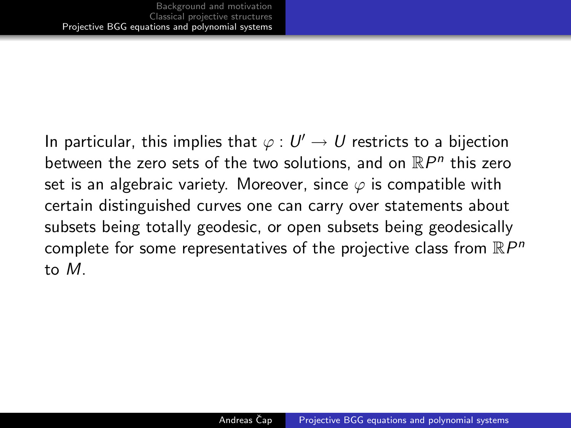In particular, this implies that  $\varphi: U' \to U$  restricts to a bijection between the zero sets of the two solutions, and on  $\mathbb{R}P^n$  this zero set is an algebraic variety. Moreover, since  $\varphi$  is compatible with certain distinguished curves one can carry over statements about subsets being totally geodesic, or open subsets being geodesically complete for some representatives of the projective class from  $\mathbb{R}P^n$ to M.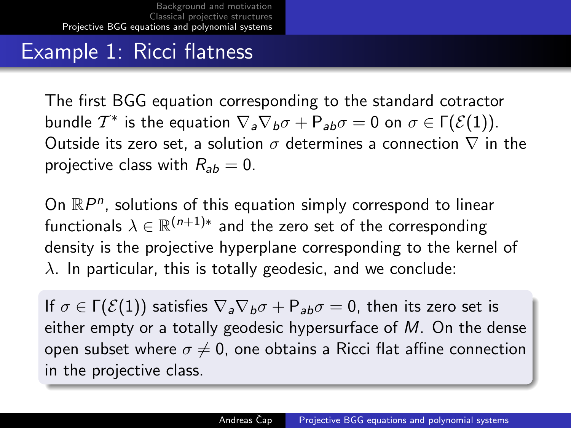#### Example 1: Ricci flatness

The first BGG equation corresponding to the standard cotractor bundle  $\mathcal{T}^*$  is the equation  $\nabla_a \nabla_b \sigma + \mathsf{P}_{ab} \sigma = 0$  on  $\sigma \in \Gamma(\mathcal{E}(1)).$ Outside its zero set, a solution  $\sigma$  determines a connection  $\nabla$  in the projective class with  $R_{ab} = 0$ .

On  $\mathbb{R}P^n$ , solutions of this equation simply correspond to linear functionals  $\lambda \in \mathbb{R}^{(n+1)*}$  and the zero set of the corresponding density is the projective hyperplane corresponding to the kernel of  $\lambda$ . In particular, this is totally geodesic, and we conclude:

If  $\sigma \in \Gamma(\mathcal{E}(1))$  satisfies  $\nabla_a \nabla_b \sigma + P_{ab} \sigma = 0$ , then its zero set is either empty or a totally geodesic hypersurface of  $M$ . On the dense open subset where  $\sigma \neq 0$ , one obtains a Ricci flat affine connection in the projective class.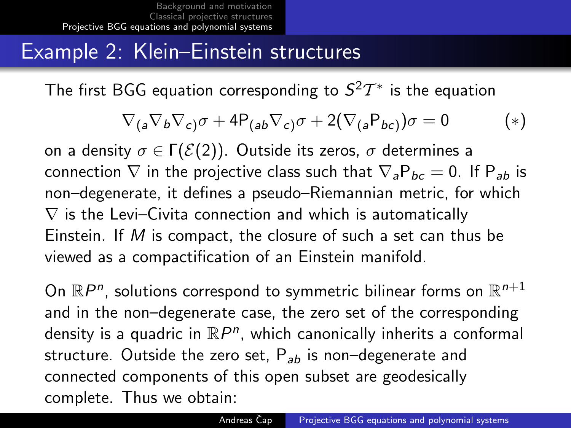### Example 2: Klein–Einstein structures

The first BGG equation corresponding to  $S^2T^*$  is the equation

$$
\nabla_{(a}\nabla_b\nabla_{c)}\sigma + 4P_{(ab}\nabla_{c)}\sigma + 2(\nabla_{(a}P_{bc)})\sigma = 0
$$
 (\*)

on a density  $\sigma \in \Gamma(\mathcal{E}(2))$ . Outside its zeros,  $\sigma$  determines a connection  $\nabla$  in the projective class such that  $\nabla_{a}P_{bc} = 0$ . If  $P_{ab}$  is non–degenerate, it defines a pseudo–Riemannian metric, for which  $\nabla$  is the Levi–Civita connection and which is automatically Einstein. If M is compact, the closure of such a set can thus be viewed as a compactification of an Einstein manifold.

On  $\mathbb{R}P^n$ , solutions correspond to symmetric bilinear forms on  $\mathbb{R}^{n+1}$ and in the non–degenerate case, the zero set of the corresponding density is a quadric in  $\mathbb{R}P^n$ , which canonically inherits a conformal structure. Outside the zero set,  $P_{ab}$  is non-degenerate and connected components of this open subset are geodesically complete. Thus we obtain: